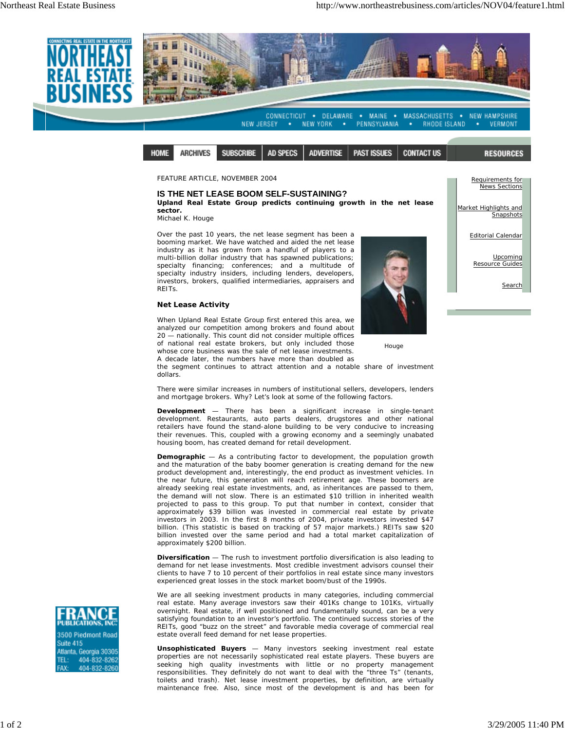

*FEATURE ARTICLE, NOVEMBER 2004*

## **IS THE NET LEASE BOOM SELF-SUSTAINING?**

**Upland Real Estate Group predicts continuing growth in the net lease sector.**

Michael K. Houge

Over the past 10 years, the net lease segment has been a booming market. We have watched and aided the net lease industry as it has grown from a handful of players to a multi-billion dollar industry that has spawned publications; specialty financing; conferences; and a multitude of specialty industry insiders, including lenders, developers, investors, brokers, qualified intermediaries, appraisers and REITs.

## **Net Lease Activity**

When Upland Real Estate Group first entered this area, we analyzed our competition among brokers and found about 20 — nationally. This count did not consider multiple offices of national real estate brokers, but only included those whose core business was the sale of net lease investments. A decade later, the numbers have more than doubled as



News Sections Market Highlights and Snapshots Editorial Calendar

Requirements for

Upcoming Resource Guides

Search

**Houge** 

the segment continues to attract attention and a notable share of investment dollars.

There were similar increases in numbers of institutional sellers, developers, lenders and mortgage brokers. Why? Let's look at some of the following factors.

**Development** — There has been a significant increase in single-tenant development. Restaurants, auto parts dealers, drugstores and other national retailers have found the stand-alone building to be very conducive to increasing their revenues. This, coupled with a growing economy and a seemingly unabated housing boom, has created demand for retail development.

**Demographic** — As a contributing factor to development, the population growth and the maturation of the baby boomer generation is creating demand for the new product development and, interestingly, the end product as investment vehicles. In the near future, this generation will reach retirement age. These boomers are already seeking real estate investments, and, as inheritances are passed to them, the demand will not slow. There is an estimated \$10 trillion in inherited wealth projected to pass to this group. To put that number in context, consider that approximately \$39 billion was invested in commercial real estate by private investors in 2003. In the first 8 months of 2004, private investors invested \$47 billion. (This statistic is based on tracking of 57 major markets.) REITs saw \$20 billion invested over the same period and had a total market capitalization of approximately \$200 billion.

**Diversification** — The rush to investment portfolio diversification is also leading to demand for net lease investments. Most credible investment advisors counsel their clients to have 7 to 10 percent of their portfolios in real estate since many investors experienced great losses in the stock market boom/bust of the 1990s.

We are all seeking investment products in many categories, including commercial real estate. Many average investors saw their 401Ks change to 101Ks, virtually overnight. Real estate, if well positioned and fundamentally sound, can be a very satisfying foundation to an investor's portfolio. The continued success stories of the REITs, good "buzz on the street" and favorable media coverage of commercial real estate overall feed demand for net lease properties.

**Unsophisticated Buyers** — Many investors seeking investment real estate properties are not necessarily sophisticated real estate players. These buyers are seeking high quality investments with little or no property management responsibilities. They definitely do not want to deal with the "three Ts" (tenants, toilets and trash). Net lease investment properties, by definition, are virtually maintenance free. Also, since most of the development is and has been for